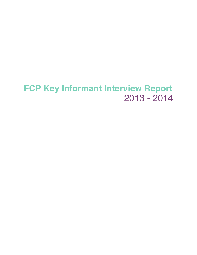# 2013 - 2014 **FCP Key Informant Interview Report**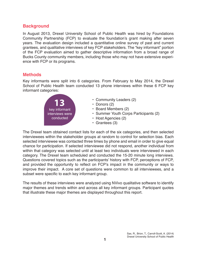# **Background**

In August 2013, Drexel University School of Public Health was hired by Foundations Community Partnership (FCP) to evaluate the foundation's grant making after seven years. The evaluation design included a quantitative online survey of past and current grantees, and qualitative interviews of key FCP stakeholders. The "key informant" portion of the FCP evaluation aimed to gather descriptive information from a broad range of Bucks County community members, including those who may not have extensive experience with FCP or its programs.

## **Methods**

Key informants were split into 6 categories. From February to May 2014, the Drexel School of Public Health team conducted 13 phone interviews within these 6 FCP key informant categories:



- $\cdot$  Community Leaders (2)
- $\cdot$  Donors (2)
- Board Members (2)
- Summer Youth Corps Participants (2)
- $\cdot$  Host Agencies (2)
- $\cdot$  Grantees (3)

The Drexel team obtained contact lists for each of the six categories, and then selected interviewees within the stakeholder groups at random to control for selection bias. Each selected interviewee was contacted three times by phone and email in order to give equal chance for participation. If selected interviewee did not respond, another individual from within that category was selected until at least two individuals were interviewed in each category. The Drexel team scheduled and conducted the 15-20 minute long interviews. Questions covered topics such as the participants' history with FCP, perceptions of FCP, and provided the opportunity to reflect on FCP's impact in the community or ways to improve their impact. A core set of questions were common to all interviewees, and a subset were specific to each key informant group.

The results of these interviews were analyzed using NVivo qualitative software to identify major themes and trends within and across all key informant groups. Participant quotes that illustrate these major themes are displayed throughout this report.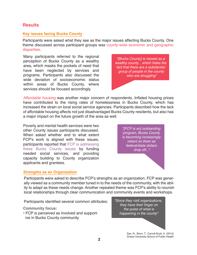## **Results**

#### **Key issues facing Bucks County**

Participants were asked what they see as the major issues affecting Bucks County. One theme discussed across participant groups was county-wide economic and geographic disparities.

Many participants referred to the regional perception of Bucks County as a wealthy area, which masks the pockets of need that have been neglected by services and programs. Participants also discussed the wide deviation of socioeconomic status within areas of Bucks County, where services should be focused accordingly.

*"[Bucks County] is viewed as a wealthy county... which hides the fact that there are a substantial group of people in the county who are struggling"*

*Affordable housing* was another major concern of respondents. Inflated housing prices have contributed to the rising rates of homelessness in Bucks County, which has increased the strain on local social service agencies. Participants described how the lack of affordable housing affects not just disadvantaged Bucks County residents, but also has a major impact on the future growth of the area as well.

Poverty and mental health services were two other County issues participants discussed. When asked whether and to what extent FCP's work is aligned with these issues, participants reported that FCP is addressing these Bucks County issues by funding needed social services, and providing capacity building to County organization applicants and grantees.

*"[FCP is an] outstanding program, Bucks County is becoming increasingly reliant on them as federal/state dollars drop off..."*

#### **Strengths as an Organization**

Participants were asked to describe FCP's strengths as an organization. FCP was generally viewed as a community member tuned in to the needs of the community, with the ability to adapt as these needs change. Another repeated theme was FCP's ability to nourish local relationships through clear communication and community events and workshops.

Participants identified several common attributes:

**Community focus:**

• FCP is perceived as involved and supportive in Bucks County community

*"Since they visit organizations, they have their finger on the pulse of what is happening in the county"*

> Sax, R., Brion, T., Carroll-Scott, A. (2014) Drexel University School of Public Health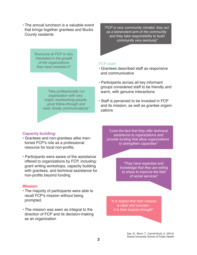• The annual luncheon is a valuable event that brings together grantees and Bucks County residents

> *"Everyone at FCP is very interested in the growth of the organizations they have invested in"*

*"FCP is very community minded, they act as a benevolent arm of the community and they take responsibility to build community very seriously"*

#### **FCP staff:**

• Grantees described staff as responsive and communicative

*"Very professionally run organization with very bright, hardworking peoplegood follow-through and clear, timely communications"*

#### • Participants across all key informant groups considered staff to be friendly and warm, with genuine interactions

• Staff is perceived to be invested in FCP and its mission, as well as grantee organi zations

#### **Capacity-building:**

- Grantees and non-grantees alike men tioned FCP's role as a professional resource for local non-profits.
- Participants were aware of the assistance offered to organizations by FCP, including: grant writing workshops, capacity building with grantees, and technical assistance for non-profits beyond funding

#### **Mission:**

- The majority of participants were able to recall FCP's mission without being prompted.
- The mission was seen as integral to the direction of FCP and its decision-making as an organization

*"Love the fact that they offer technical assistance to organizations and provide funding that allow organizations to strengthen capacities"*

> *"They have expertise and knowledge that they are willing to share to improve the field of social services"*

*"It is helpful that their mission is clear and concise- it is their largest strength"*

> Sax, R., Brion, T., Carroll-Scott, A. (2014) Drexel University School of Public Health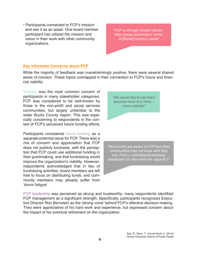• Participants connected to FCP's mission and see it as an asset. One board member participant has utilized the mission and vision in their work with other community organizations.

*"FCP is strongly mission driven... they closely scrutinize in terms*  of [Bucks] county's needs"

## **Key Informant Concerns about FCP**

While the majority of feedback was overwhelmingly positive, there were several shared areas of concern. These topics overlapped in their connection to FCP's future and financial viability.

Visibility was the most common concern of participants in many stakeholder categories. FCP was considered to be well-known by those in the non-profit and social services communities, but largely unfamiliar to the wider Bucks County region. This was especially concerning to respondents in the context of FCP's perceived future funding efforts.

Participants considered future funding as a separate potential issue for FCP. There was a mix of concern and appreciation that FCP does not publicly fundraise, with the perception that FCP could use additional funding in their grantmaking, and that fundraising would improve the organization's viability. However, respondents acknowledged that in lieu of fundraising activities, board members are left free to focus on distributing funds, and community members may already suffer from 'donor fatigue'.



*"Non-profits are aware of FCP but other communities may not know who they are. From a marketing/fundraising standpoint, do they have the capacity?"*

FCP leadership was perceived as strong and trustworthy; many respondents identified FCP management as a significant strength. Specifically, participants recognized Executive Director Ron Bernstein as the 'strong voice' behind FCP's effective decision-making. They were appreciative of his hard work and experience, but expressed concern about the impact of his eventual retirement on the organization.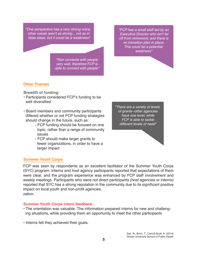*"One perspective has a very strong voice, other voices aren't as strong... not as in false steps, but it could be a weakness"*

> *"Ron connects with people very well, therefore FCP is able to connect with people"*

*"FCP has a small staff led by an* Executive Director who isn't far *off from retirement, and there is no transition plan in place. This could be a potential weakness"*

## **Other Themes**

**Breadth of funding:**

- Participants considered FCP's funding to be well diversified.
- . Board members and community participants differed whether or not FCP funding strategies should change in the future, such as:
	- FCP funding should be focused on one topic, rather than a range of community issues
	- FCP should make larger grants to fewer organizations, in order to have a larger impact

**Summer Youth Corps**

FCP was seen by respondents as an excellent facilitator of the Summer Youth Corps (SYC) program. Interns and host agency participants reported that expectations of them were clear, and the program experience was enhanced by FCP staff involvement and weekly meetings. Participants who were not direct participants (host agencies or interns) reported that SYC has a strong reputation in the community due to its significant positive impact on local youth and non-profit agencies. zation.

#### **Summer Youth Corps intern feedback:**

- The orientation was valuable. The information prepared interns for new and challenging situations, while providing them an opportunity to meet the other participants
- $\cdot$  Interns felt they achieved their goals.

*"There are a variety of levels of grants--other agencies have one level, while FCP is able to tackle different levels of need"*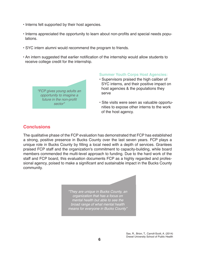- $\cdot$  Interns felt supported by their host agencies.
- $\cdot$  Interns appreciated the opportunity to learn about non-profits and special needs populations.
- SYC intern alumni would recommend the program to friends.
- . An intern suggested that earlier notification of the internship would allow students to receive college credit for the internship.



#### **Summer Youth Corps Host Agencies:**

- Supervisors praised the high caliber of SYC interns, and their positive impact on host agencies & the populations they serve
- Site visits were seen as valuable opportunities to expose other interns to the work of the host agency.

## **Conclusions**

The qualitative phase of the FCP evaluation has demonstrated that FCP has established a strong, positive presence in Bucks County over the last seven years. FCP plays a unique role in Bucks County by filling a local need with a depth of services. Grantees praised FCP staff and the organization's commitment to capacity-building, while board members commended the multi-level approach to funding. Due to the hard work of the staff and FCP board, this evaluation documents FCP as a highly regarded and professional agency, poised to make a significant and sustainable impact in the Bucks County community.

> *"They are unique in Bucks County, an organization that has a focus on mental health but able to see the broad range of what mental health means for everyone in Bucks County"*